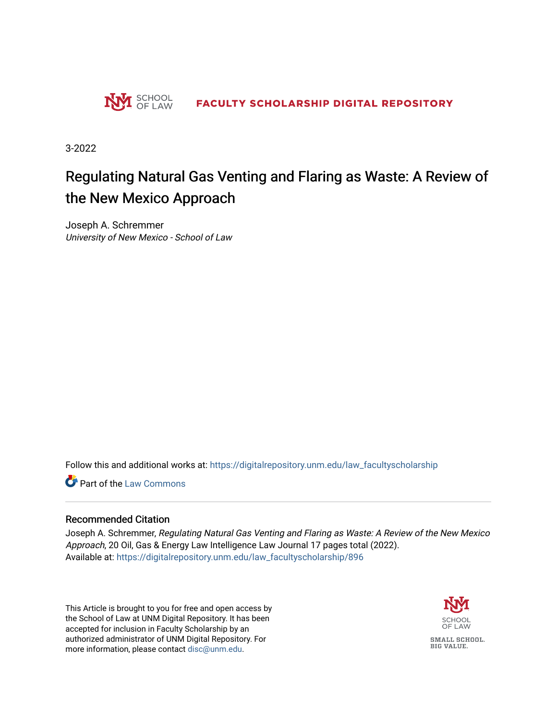

3-2022

# Regulating Natural Gas Venting and Flaring as Waste: A Review of the New Mexico Approach

Joseph A. Schremmer University of New Mexico - School of Law

Follow this and additional works at: [https://digitalrepository.unm.edu/law\\_facultyscholarship](https://digitalrepository.unm.edu/law_facultyscholarship?utm_source=digitalrepository.unm.edu%2Flaw_facultyscholarship%2F896&utm_medium=PDF&utm_campaign=PDFCoverPages) 

**Part of the [Law Commons](https://network.bepress.com/hgg/discipline/578?utm_source=digitalrepository.unm.edu%2Flaw_facultyscholarship%2F896&utm_medium=PDF&utm_campaign=PDFCoverPages)** 

#### Recommended Citation

Joseph A. Schremmer, Regulating Natural Gas Venting and Flaring as Waste: A Review of the New Mexico Approach, 20 Oil, Gas & Energy Law Intelligence Law Journal 17 pages total (2022). Available at: [https://digitalrepository.unm.edu/law\\_facultyscholarship/896](https://digitalrepository.unm.edu/law_facultyscholarship/896?utm_source=digitalrepository.unm.edu%2Flaw_facultyscholarship%2F896&utm_medium=PDF&utm_campaign=PDFCoverPages) 

This Article is brought to you for free and open access by the School of Law at UNM Digital Repository. It has been accepted for inclusion in Faculty Scholarship by an authorized administrator of UNM Digital Repository. For more information, please contact [disc@unm.edu](mailto:disc@unm.edu).



**BIG VALUE.**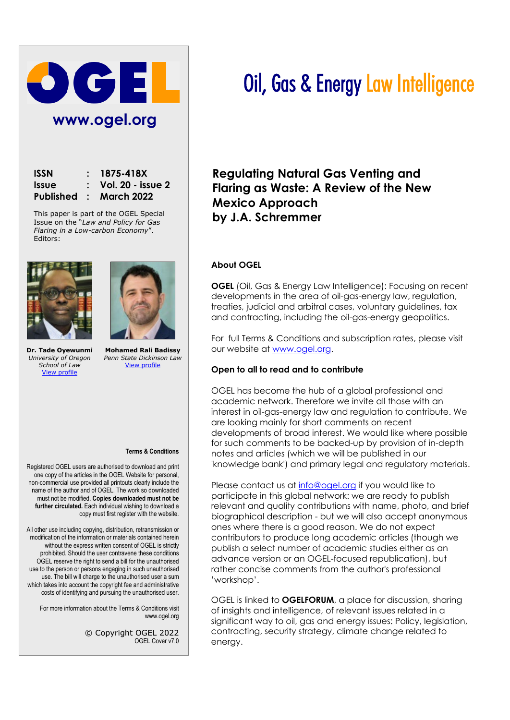

| <b>ISSN</b>  | $: 1875 - 418X$                |
|--------------|--------------------------------|
| <b>Issue</b> | $\therefore$ Vol. 20 - issue 2 |
|              | Published : March 2022         |

This paper is part of the OGEL Special Issue on the "*Law and Policy for Gas Flaring in a Low-carbon Economy*". Editors:



**Dr. Tade Oyewunmi** *University of Oregon School of Law* [View profile](https://www.ogel.org/about-author-a-z-profile.asp?key=1992)



**Mohamed Rali Badissy** *Penn State Dickinson Law* [View profile](https://www.ogel.org/about-author-a-z-profile.asp?key=3447)

#### **Terms & Conditions**

Registered OGEL users are authorised to download and print one copy of the articles in the OGEL Website for personal, non-commercial use provided all printouts clearly include the name of the author and of OGEL. The work so downloaded must not be modified. **Copies downloaded must not be further circulated.** Each individual wishing to download a copy must first register with the website.

All other use including copying, distribution, retransmission or modification of the information or materials contained herein without the express written consent of OGEL is strictly prohibited. Should the user contravene these conditions OGEL reserve the right to send a bill for the unauthorised use to the person or persons engaging in such unauthorised use. The bill will charge to the unauthorised user a sum which takes into account the copyright fee and administrative costs of identifying and pursuing the unauthorised user.

For more information about the Terms & Conditions visit www.ogel.org

> © Copyright OGEL 2022 OGEL Cover v7.0

# Oil, Gas & Energy Law Intelligence

**Regulating Natural Gas Venting and Flaring as Waste: A Review of the New Mexico Approach by J.A. Schremmer**

#### **About OGEL**

**OGEL** (Oil, Gas & Energy Law Intelligence): Focusing on recent developments in the area of oil-gas-energy law, regulation, treaties, judicial and arbitral cases, voluntary guidelines, tax and contracting, including the oil-gas-energy geopolitics.

For full Terms & Conditions and subscription rates, please visit our website at [www.ogel.org.](http://www.ogel.org/)

#### **Open to all to read and to contribute**

OGEL has become the hub of a global professional and academic network. Therefore we invite all those with an interest in oil-gas-energy law and regulation to contribute. We are looking mainly for short comments on recent developments of broad interest. We would like where possible for such comments to be backed-up by provision of in-depth notes and articles (which we will be published in our 'knowledge bank') and primary legal and regulatory materials.

Please contact us at [info@ogel.org](mailto:info@ogel.org) if you would like to participate in this global network: we are ready to publish relevant and quality contributions with name, photo, and brief biographical description - but we will also accept anonymous ones where there is a good reason. We do not expect contributors to produce long academic articles (though we publish a select number of academic studies either as an advance version or an OGEL-focused republication), but rather concise comments from the author's professional 'workshop'.

OGEL is linked to **OGELFORUM**, a place for discussion, sharing of insights and intelligence, of relevant issues related in a significant way to oil, gas and energy issues: Policy, legislation, contracting, security strategy, climate change related to energy.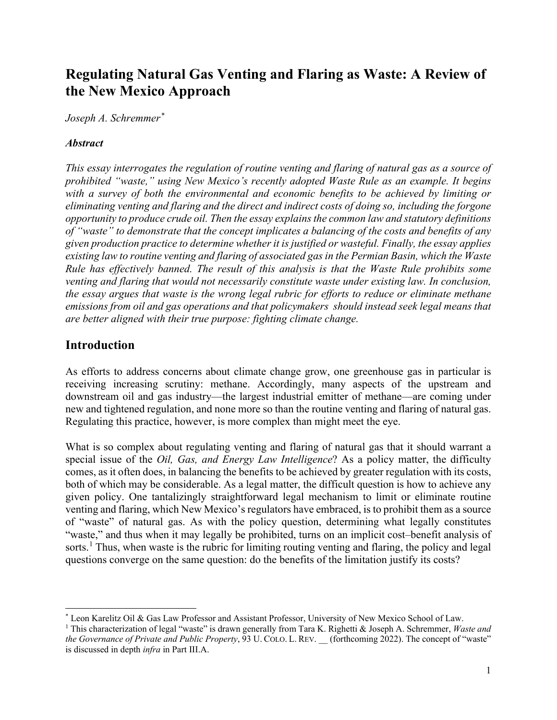# **Regulating Natural Gas Venting and Flaring as Waste: A Review of the New Mexico Approach**

*Joseph A. Schremmer[\\*](#page-2-0)*

## *Abstract*

*This essay interrogates the regulation of routine venting and flaring of natural gas as a source of prohibited "waste," using New Mexico's recently adopted Waste Rule as an example. It begins with a survey of both the environmental and economic benefits to be achieved by limiting or eliminating venting and flaring and the direct and indirect costs of doing so, including the forgone opportunity to produce crude oil. Then the essay explains the common law and statutory definitions of "waste" to demonstrate that the concept implicates a balancing of the costs and benefits of any given production practice to determine whether it is justified or wasteful. Finally, the essay applies existing law to routine venting and flaring of associated gas in the Permian Basin, which the Waste Rule has effectively banned. The result of this analysis is that the Waste Rule prohibits some venting and flaring that would not necessarily constitute waste under existing law. In conclusion, the essay argues that waste is the wrong legal rubric for efforts to reduce or eliminate methane emissions from oil and gas operations and that policymakers should instead seek legal means that are better aligned with their true purpose: fighting climate change.* 

# **Introduction**

As efforts to address concerns about climate change grow, one greenhouse gas in particular is receiving increasing scrutiny: methane. Accordingly, many aspects of the upstream and downstream oil and gas industry—the largest industrial emitter of methane—are coming under new and tightened regulation, and none more so than the routine venting and flaring of natural gas. Regulating this practice, however, is more complex than might meet the eye.

What is so complex about regulating venting and flaring of natural gas that it should warrant a special issue of the *Oil, Gas, and Energy Law Intelligence*? As a policy matter, the difficulty comes, as it often does, in balancing the benefits to be achieved by greater regulation with its costs, both of which may be considerable. As a legal matter, the difficult question is how to achieve any given policy. One tantalizingly straightforward legal mechanism to limit or eliminate routine venting and flaring, which New Mexico's regulators have embraced, is to prohibit them as a source of "waste" of natural gas. As with the policy question, determining what legally constitutes "waste," and thus when it may legally be prohibited, turns on an implicit cost–benefit analysis of sorts.<sup>[1](#page-2-1)</sup> Thus, when waste is the rubric for limiting routing venting and flaring, the policy and legal questions converge on the same question: do the benefits of the limitation justify its costs?

<span id="page-2-0"></span><sup>\*</sup> Leon Karelitz Oil & Gas Law Professor and Assistant Professor, University of New Mexico School of Law.

<span id="page-2-1"></span><sup>1</sup> This characterization of legal "waste" is drawn generally from Tara K. Righetti & Joseph A. Schremmer, *Waste and the Governance of Private and Public Property*, 93 U. COLO. L. REV. \_\_ (forthcoming 2022). The concept of "waste" is discussed in depth *infra* in Part III.A.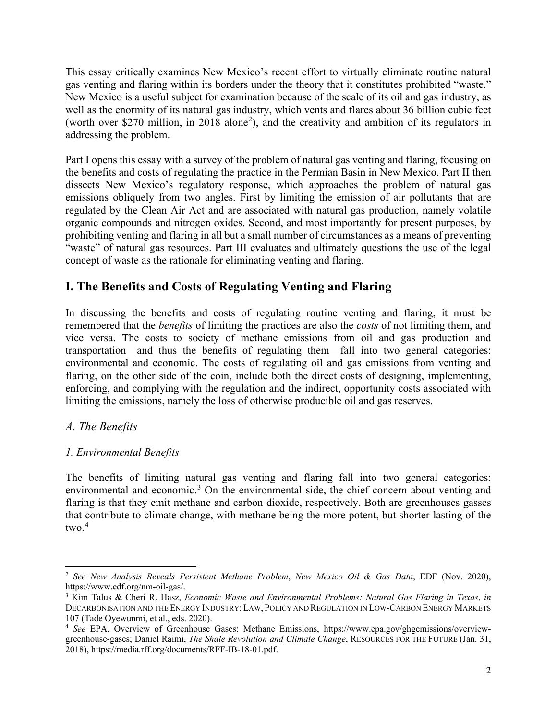This essay critically examines New Mexico's recent effort to virtually eliminate routine natural gas venting and flaring within its borders under the theory that it constitutes prohibited "waste." New Mexico is a useful subject for examination because of the scale of its oil and gas industry, as well as the enormity of its natural gas industry, which vents and flares about 36 billion cubic feet (worth over \$[2](#page-3-0)70 million, in 2018 alone<sup>2</sup>), and the creativity and ambition of its regulators in addressing the problem.

Part I opens this essay with a survey of the problem of natural gas venting and flaring, focusing on the benefits and costs of regulating the practice in the Permian Basin in New Mexico. Part II then dissects New Mexico's regulatory response, which approaches the problem of natural gas emissions obliquely from two angles. First by limiting the emission of air pollutants that are regulated by the Clean Air Act and are associated with natural gas production, namely volatile organic compounds and nitrogen oxides. Second, and most importantly for present purposes, by prohibiting venting and flaring in all but a small number of circumstances as a means of preventing "waste" of natural gas resources. Part III evaluates and ultimately questions the use of the legal concept of waste as the rationale for eliminating venting and flaring.

# **I. The Benefits and Costs of Regulating Venting and Flaring**

In discussing the benefits and costs of regulating routine venting and flaring, it must be remembered that the *benefits* of limiting the practices are also the *costs* of not limiting them, and vice versa. The costs to society of methane emissions from oil and gas production and transportation—and thus the benefits of regulating them—fall into two general categories: environmental and economic. The costs of regulating oil and gas emissions from venting and flaring, on the other side of the coin, include both the direct costs of designing, implementing, enforcing, and complying with the regulation and the indirect, opportunity costs associated with limiting the emissions, namely the loss of otherwise producible oil and gas reserves.

# *A. The Benefits*

# *1. Environmental Benefits*

The benefits of limiting natural gas venting and flaring fall into two general categories: environmental and economic.<sup>[3](#page-3-1)</sup> On the environmental side, the chief concern about venting and flaring is that they emit methane and carbon dioxide, respectively. Both are greenhouses gasses that contribute to climate change, with methane being the more potent, but shorter-lasting of the two. [4](#page-3-2)

<span id="page-3-0"></span><sup>2</sup> *See New Analysis Reveals Persistent Methane Problem*, *New Mexico Oil & Gas Data*, EDF (Nov. 2020), https://www.edf.org/nm-oil-gas/.<br><sup>3</sup> Kim Talus & Cheri R. Hasz, *Economic Waste and Environmental Problems: Natural Gas Flaring in Texas, in* 

<span id="page-3-1"></span>DECARBONISATION AND THE ENERGY INDUSTRY: LAW, POLICY AND REGULATION IN LOW-CARBON ENERGY MARKETS 107 (Tade Oyewunmi, et al., eds. 2020).

<span id="page-3-2"></span><sup>4</sup> *See* EPA, Overview of Greenhouse Gases: Methane Emissions, https://www.epa.gov/ghgemissions/overviewgreenhouse-gases; Daniel Raimi, *The Shale Revolution and Climate Change*, RESOURCES FOR THE FUTURE (Jan. 31, 2018), https://media.rff.org/documents/RFF-IB-18-01.pdf.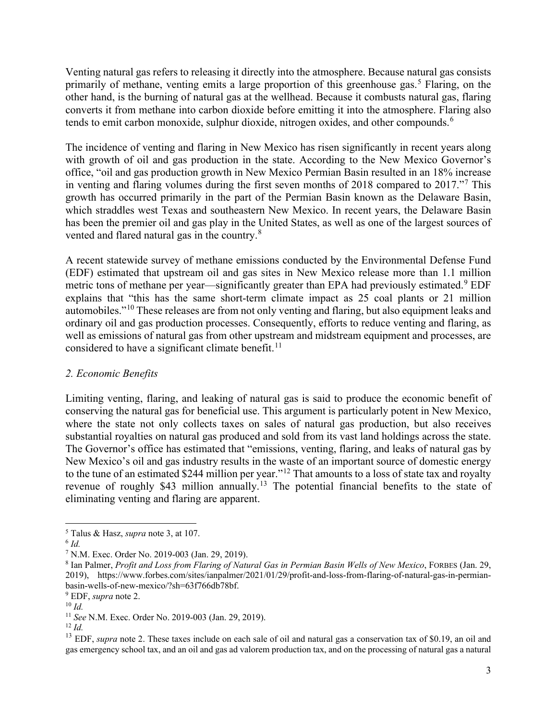Venting natural gas refers to releasing it directly into the atmosphere. Because natural gas consists primarily of methane, venting emits a large proportion of this greenhouse gas.<sup>[5](#page-4-0)</sup> Flaring, on the other hand, is the burning of natural gas at the wellhead. Because it combusts natural gas, flaring converts it from methane into carbon dioxide before emitting it into the atmosphere. Flaring also tends to emit carbon monoxide, sulphur dioxide, nitrogen oxides, and other compounds.<sup>[6](#page-4-1)</sup>

The incidence of venting and flaring in New Mexico has risen significantly in recent years along with growth of oil and gas production in the state. According to the New Mexico Governor's office, "oil and gas production growth in New Mexico Permian Basin resulted in an 18% increase in venting and flaring volumes during the first seven months of 2018 compared to 2017."[7](#page-4-2) This growth has occurred primarily in the part of the Permian Basin known as the Delaware Basin, which straddles west Texas and southeastern New Mexico. In recent years, the Delaware Basin has been the premier oil and gas play in the United States, as well as one of the largest sources of vented and flared natural gas in the country.<sup>[8](#page-4-3)</sup>

A recent statewide survey of methane emissions conducted by the Environmental Defense Fund (EDF) estimated that upstream oil and gas sites in New Mexico release more than 1.1 million metric tons of methane per year—significantly greater than EPA had previously estimated.<sup>[9](#page-4-4)</sup> EDF explains that "this has the same short-term climate impact as 25 coal plants or 21 million automobiles."[10](#page-4-5) These releases are from not only venting and flaring, but also equipment leaks and ordinary oil and gas production processes. Consequently, efforts to reduce venting and flaring, as well as emissions of natural gas from other upstream and midstream equipment and processes, are considered to have a significant climate benefit.<sup>[11](#page-4-6)</sup>

#### *2. Economic Benefits*

Limiting venting, flaring, and leaking of natural gas is said to produce the economic benefit of conserving the natural gas for beneficial use. This argument is particularly potent in New Mexico, where the state not only collects taxes on sales of natural gas production, but also receives substantial royalties on natural gas produced and sold from its vast land holdings across the state. The Governor's office has estimated that "emissions, venting, flaring, and leaks of natural gas by New Mexico's oil and gas industry results in the waste of an important source of domestic energy to the tune of an estimated \$244 million per year."[12](#page-4-7) That amounts to a loss of state tax and royalty revenue of roughly \$43 million annually.<sup>[13](#page-4-8)</sup> The potential financial benefits to the state of eliminating venting and flaring are apparent.

<span id="page-4-1"></span><span id="page-4-0"></span><sup>&</sup>lt;sup>5</sup> Talus & Hasz, *supra* note 3, at 107.<br>
<sup>6</sup> *Id.* <sup>7</sup> N.M. Exec. Order No. 2019-003 (Jan. 29, 2019).

<span id="page-4-3"></span><span id="page-4-2"></span><sup>&</sup>lt;sup>8</sup> Ian Palmer, *Profit and Loss from Flaring of Natural Gas in Permian Basin Wells of New Mexico*, FORBES (Jan. 29, 2019), https://www.forbes.com/sites/ianpalmer/2021/01/29/profit-and-loss-from-flaring-of-natural-gas-in-permianbasin-wells-of-new-mexico/?sh=63f766db78bf.<br><sup>9</sup> EDF, *supra* note 2.<br><sup>10</sup> *Id.*<br><sup>11</sup> *See* N.M. Exec. Order No. 2019-003 (Jan. 29, 2019).

<span id="page-4-4"></span>

<span id="page-4-5"></span>

<span id="page-4-8"></span><span id="page-4-7"></span><span id="page-4-6"></span><sup>&</sup>lt;sup>12</sup> *Id.*<br><sup>13</sup> EDF, *supra* note 2. These taxes include on each sale of oil and natural gas a conservation tax of \$0.19, an oil and gas emergency school tax, and an oil and gas ad valorem production tax, and on the processing of natural gas a natural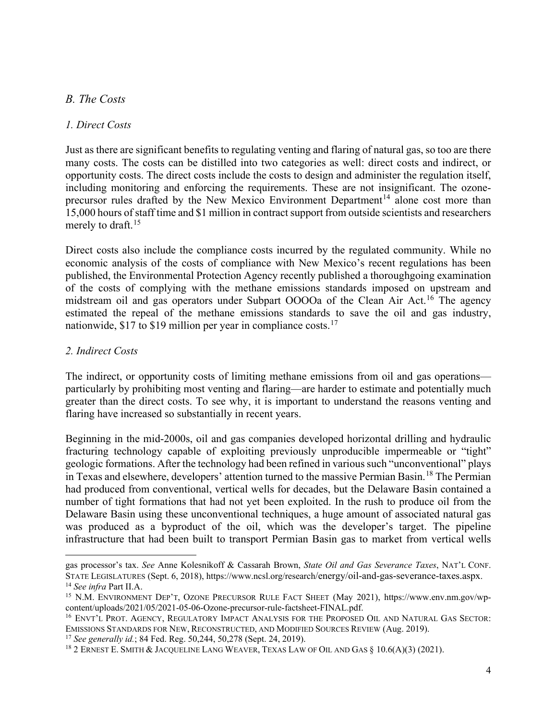# *B. The Costs*

#### *1. Direct Costs*

Just as there are significant benefits to regulating venting and flaring of natural gas, so too are there many costs. The costs can be distilled into two categories as well: direct costs and indirect, or opportunity costs. The direct costs include the costs to design and administer the regulation itself, including monitoring and enforcing the requirements. These are not insignificant. The ozone-precursor rules drafted by the New Mexico Environment Department<sup>[14](#page-5-0)</sup> alone cost more than 15,000 hours of staff time and \$1 million in contract support from outside scientists and researchers merely to draft.<sup>[15](#page-5-1)</sup>

Direct costs also include the compliance costs incurred by the regulated community. While no economic analysis of the costs of compliance with New Mexico's recent regulations has been published, the Environmental Protection Agency recently published a thoroughgoing examination of the costs of complying with the methane emissions standards imposed on upstream and midstream oil and gas operators under Subpart OOOOa of the Clean Air Act.<sup>[16](#page-5-2)</sup> The agency estimated the repeal of the methane emissions standards to save the oil and gas industry, nationwide, \$[17](#page-5-3) to \$19 million per year in compliance costs.<sup>17</sup>

#### *2. Indirect Costs*

The indirect, or opportunity costs of limiting methane emissions from oil and gas operations particularly by prohibiting most venting and flaring—are harder to estimate and potentially much greater than the direct costs. To see why, it is important to understand the reasons venting and flaring have increased so substantially in recent years.

Beginning in the mid-2000s, oil and gas companies developed horizontal drilling and hydraulic fracturing technology capable of exploiting previously unproducible impermeable or "tight" geologic formations. After the technology had been refined in various such "unconventional" plays in Texas and elsewhere, developers' attention turned to the massive Permian Basin.[18](#page-5-4) The Permian had produced from conventional, vertical wells for decades, but the Delaware Basin contained a number of tight formations that had not yet been exploited. In the rush to produce oil from the Delaware Basin using these unconventional techniques, a huge amount of associated natural gas was produced as a byproduct of the oil, which was the developer's target. The pipeline infrastructure that had been built to transport Permian Basin gas to market from vertical wells

gas processor's tax. *See* Anne Kolesnikoff & Cassarah Brown, *State Oil and Gas Severance Taxes*, NAT'L CONF. STATE LEGISLATURES (Sept. 6, 2018), [https://www.ncsl.org/research/](https://www.ncsl.org/research)energy/oil-and-gas-severance-taxes.aspx. 14 *See infra* Part II.A.

<span id="page-5-1"></span><span id="page-5-0"></span><sup>&</sup>lt;sup>15</sup> N.M. ENVIRONMENT DEP'T, OZONE PRECURSOR RULE FACT SHEET (May 2021), https://www.env.nm.gov/wp-content/uploads/2021/05/2021-05-06-Ozone-precursor-rule-factsheet-FINAL.pdf.

<span id="page-5-2"></span><sup>&</sup>lt;sup>16</sup> ENVT'L PROT. AGENCY, REGULATORY IMPACT ANALYSIS FOR THE PROPOSED OIL AND NATURAL GAS SECTOR: EMISSIONS STANDARDS FOR NEW, RECONSTRUCTED, AND MODIFIED SOURCES REVIEW (Aug. 2019).<br><sup>17</sup> See generally id.; 84 Fed. Reg. 50,244, 50,278 (Sept. 24, 2019).

<span id="page-5-4"></span><span id="page-5-3"></span><sup>&</sup>lt;sup>18</sup> 2 ERNEST E. SMITH & JACQUELINE LANG WEAVER, TEXAS LAW OF OIL AND GAS § 10.6(A)(3) (2021).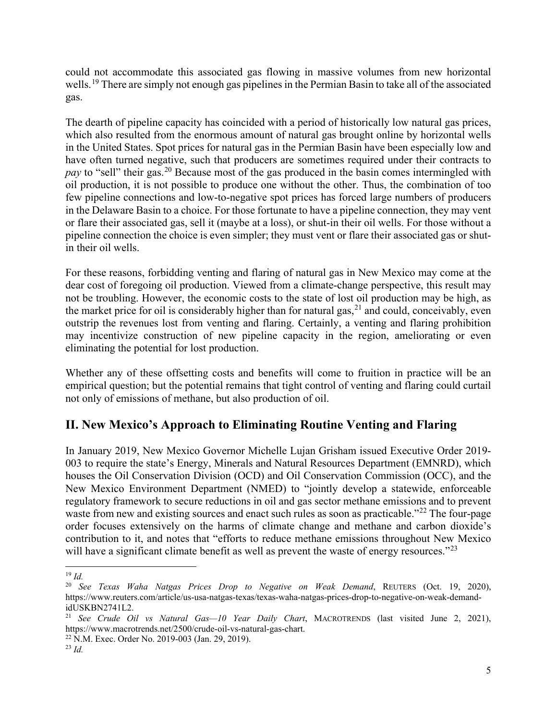could not accommodate this associated gas flowing in massive volumes from new horizontal wells.<sup>[19](#page-6-0)</sup> There are simply not enough gas pipelines in the Permian Basin to take all of the associated gas.

The dearth of pipeline capacity has coincided with a period of historically low natural gas prices, which also resulted from the enormous amount of natural gas brought online by horizontal wells in the United States. Spot prices for natural gas in the Permian Basin have been especially low and have often turned negative, such that producers are sometimes required under their contracts to *pay* to "sell" their gas.<sup>[20](#page-6-1)</sup> Because most of the gas produced in the basin comes intermingled with oil production, it is not possible to produce one without the other. Thus, the combination of too few pipeline connections and low-to-negative spot prices has forced large numbers of producers in the Delaware Basin to a choice. For those fortunate to have a pipeline connection, they may vent or flare their associated gas, sell it (maybe at a loss), or shut-in their oil wells. For those without a pipeline connection the choice is even simpler; they must vent or flare their associated gas or shutin their oil wells.

For these reasons, forbidding venting and flaring of natural gas in New Mexico may come at the dear cost of foregoing oil production. Viewed from a climate-change perspective, this result may not be troubling. However, the economic costs to the state of lost oil production may be high, as the market price for oil is considerably higher than for natural gas,  $21$  and could, conceivably, even outstrip the revenues lost from venting and flaring. Certainly, a venting and flaring prohibition may incentivize construction of new pipeline capacity in the region, ameliorating or even eliminating the potential for lost production.

Whether any of these offsetting costs and benefits will come to fruition in practice will be an empirical question; but the potential remains that tight control of venting and flaring could curtail not only of emissions of methane, but also production of oil.

# **II. New Mexico's Approach to Eliminating Routine Venting and Flaring**

In January 2019, New Mexico Governor Michelle Lujan Grisham issued Executive Order 2019- 003 to require the state's Energy, Minerals and Natural Resources Department (EMNRD), which houses the Oil Conservation Division (OCD) and Oil Conservation Commission (OCC), and the New Mexico Environment Department (NMED) to "jointly develop a statewide, enforceable regulatory framework to secure reductions in oil and gas sector methane emissions and to prevent waste from new and existing sources and enact such rules as soon as practicable."<sup>[22](#page-6-3)</sup> The four-page order focuses extensively on the harms of climate change and methane and carbon dioxide's contribution to it, and notes that "efforts to reduce methane emissions throughout New Mexico will have a significant climate benefit as well as prevent the waste of energy resources."<sup>[23](#page-6-4)</sup>

<span id="page-6-0"></span><sup>19</sup> *Id.*

<span id="page-6-1"></span><sup>20</sup> *See Texas Waha Natgas Prices Drop to Negative on Weak Demand*, REUTERS (Oct. 19, 2020), https://www.reuters.com/article/us-usa-natgas-texas/texas-waha-natgas-prices-drop-to-negative-on-weak-demandidUSKBN2741L2.

<span id="page-6-2"></span><sup>21</sup> *See Crude Oil vs Natural Gas—10 Year Daily Chart*, MACROTRENDS (last visited June 2, 2021), https://www.macrotrends.net/2500/crude-oil-vs-natural-gas-chart. 22 N.M. Exec. Order No. 2019-003 (Jan. 29, 2019). 23 *Id.*

<span id="page-6-4"></span><span id="page-6-3"></span>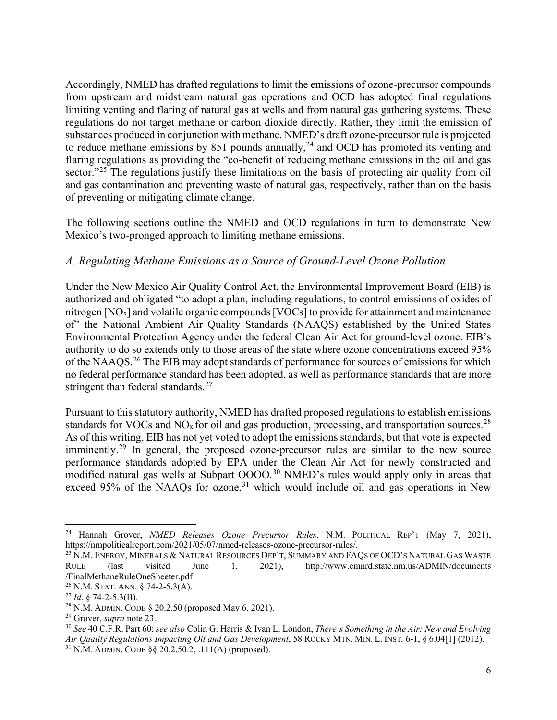Accordingly, NMED has drafted regulations to limit the emissions of ozone-precursor compounds from upstream and midstream natural gas operations and OCD has adopted final regulations limiting venting and flaring of natural gas at wells and from natural gas gathering systems. These regulations do not target methane or carbon dioxide directly. Rather, they limit the emission of substances produced in conjunction with methane. NMED's draft ozone-precursor rule is projected to reduce methane emissions by 851 pounds annually,<sup>[24](#page-7-0)</sup> and OCD has promoted its venting and flaring regulations as providing the "co-benefit of reducing methane emissions in the oil and gas sector."<sup>[25](#page-7-1)</sup> The regulations justify these limitations on the basis of protecting air quality from oil and gas contamination and preventing waste of natural gas, respectively, rather than on the basis of preventing or mitigating climate change.

The following sections outline the NMED and OCD regulations in turn to demonstrate New Mexico's two-pronged approach to limiting methane emissions.

# *A. Regulating Methane Emissions as a Source of Ground-Level Ozone Pollution*

Under the New Mexico Air Quality Control Act, the Environmental Improvement Board (EIB) is authorized and obligated "to adopt a plan, including regulations, to control emissions of oxides of nitrogen [NOx] and volatile organic compounds [VOCs] to provide for attainment and maintenance of" the National Ambient Air Quality Standards (NAAQS) established by the United States Environmental Protection Agency under the federal Clean Air Act for ground-level ozone. EIB's authority to do so extends only to those areas of the state where ozone concentrations exceed 95% of the NAAQS.<sup>[26](#page-7-2)</sup> The EIB may adopt standards of performance for sources of emissions for which no federal performance standard has been adopted, as well as performance standards that are more stringent than federal standards.<sup>[27](#page-7-3)</sup>

Pursuant to this statutory authority, NMED has drafted proposed regulations to establish emissions standards for VOCs and NO<sub>x</sub> for oil and gas production, processing, and transportation sources.<sup>[28](#page-7-4)</sup> As of this writing, EIB has not yet voted to adopt the emissions standards, but that vote is expected imminently.<sup>[29](#page-7-5)</sup> In general, the proposed ozone-precursor rules are similar to the new source performance standards adopted by EPA under the Clean Air Act for newly constructed and modified natural gas wells at Subpart OOOO.<sup>[30](#page-7-6)</sup> NMED's rules would apply only in areas that exceed 95% of the NAAQs for ozone,<sup>[31](#page-7-7)</sup> which would include oil and gas operations in New

<span id="page-7-0"></span><sup>&</sup>lt;sup>24</sup> Hannah Grover, *NMED Releases Ozone Precursor Rules*, N.M. POLITICAL REP'T (May 7, 2021), https://nmpoliticalreport.com/2021/05/07/nmed-releases-ozone-precursor-rules/.

<span id="page-7-1"></span><sup>&</sup>lt;sup>25</sup> N.M. ENERGY, MINERALS & NATURAL RESOURCES DEP'T, SUMMARY AND FAQS OF OCD'S NATURAL GAS WASTE RULE (last visited June 1, 2021), http://www.emnrd.state.nm.us/ADMIN/documents /FinalMethaneRuleOneSheeter.pdf

<span id="page-7-3"></span><span id="page-7-2"></span><sup>&</sup>lt;sup>26</sup> N.M. STAT. ANN. § 74-2-5.3(A).<br><sup>27</sup> *Id.* § 74-2-5.3(B).<br><sup>28</sup> N.M. ADMIN. CODE § 20.2.50 (proposed May 6, 2021).

<span id="page-7-7"></span><span id="page-7-6"></span><span id="page-7-5"></span><span id="page-7-4"></span><sup>&</sup>lt;sup>29</sup> Grover, *supra* note 23.<br><sup>30</sup> See 40 C.F.R. Part 60; *see also* Colin G. Harris & Ivan L. London, *There's Something in the Air: New and Evolving Air Quality Regulations Impacting Oil and Gas Development*, 58 ROCKY MTN. MIN. L. INST. 6-1, § 6.04[1] (2012). <sup>31</sup> N.M. ADMIN. CODE §§ 20.2.50.2, .111(A) (proposed).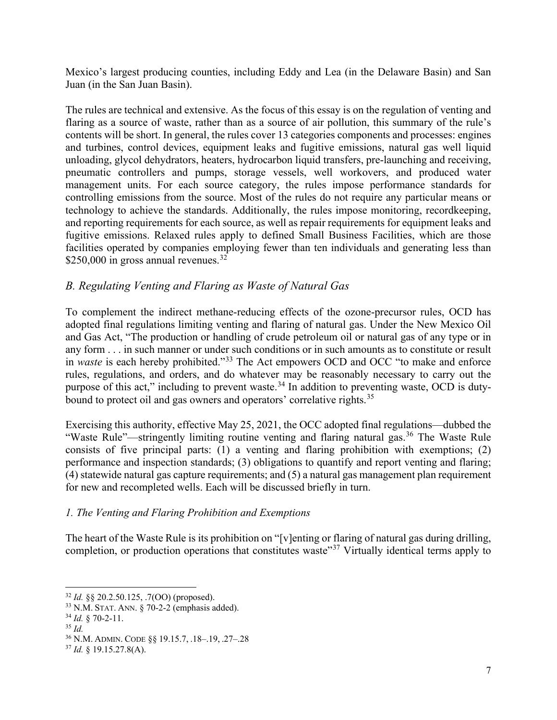Mexico's largest producing counties, including Eddy and Lea (in the Delaware Basin) and San Juan (in the San Juan Basin).

The rules are technical and extensive. As the focus of this essay is on the regulation of venting and flaring as a source of waste, rather than as a source of air pollution, this summary of the rule's contents will be short. In general, the rules cover 13 categories components and processes: engines and turbines, control devices, equipment leaks and fugitive emissions, natural gas well liquid unloading, glycol dehydrators, heaters, hydrocarbon liquid transfers, pre-launching and receiving, pneumatic controllers and pumps, storage vessels, well workovers, and produced water management units. For each source category, the rules impose performance standards for controlling emissions from the source. Most of the rules do not require any particular means or technology to achieve the standards. Additionally, the rules impose monitoring, recordkeeping, and reporting requirements for each source, as well as repair requirements for equipment leaks and fugitive emissions. Relaxed rules apply to defined Small Business Facilities, which are those facilities operated by companies employing fewer than ten individuals and generating less than \$250,000 in gross annual revenues. $32$ 

# *B. Regulating Venting and Flaring as Waste of Natural Gas*

To complement the indirect methane-reducing effects of the ozone-precursor rules, OCD has adopted final regulations limiting venting and flaring of natural gas. Under the New Mexico Oil and Gas Act, "The production or handling of crude petroleum oil or natural gas of any type or in any form . . . in such manner or under such conditions or in such amounts as to constitute or result in *waste* is each hereby prohibited."[33](#page-8-1) The Act empowers OCD and OCC "to make and enforce rules, regulations, and orders, and do whatever may be reasonably necessary to carry out the purpose of this act," including to prevent waste.<sup>[34](#page-8-2)</sup> In addition to preventing waste, OCD is duty-bound to protect oil and gas owners and operators' correlative rights.<sup>[35](#page-8-3)</sup>

Exercising this authority, effective May 25, 2021, the OCC adopted final regulations—dubbed the "Waste Rule"—stringently limiting routine venting and flaring natural gas.[36](#page-8-4) The Waste Rule consists of five principal parts: (1) a venting and flaring prohibition with exemptions; (2) performance and inspection standards; (3) obligations to quantify and report venting and flaring; (4) statewide natural gas capture requirements; and (5) a natural gas management plan requirement for new and recompleted wells. Each will be discussed briefly in turn.

## *1. The Venting and Flaring Prohibition and Exemptions*

The heart of the Waste Rule is its prohibition on "[v]enting or flaring of natural gas during drilling, completion, or production operations that constitutes waste<sup>"[37](#page-8-5)</sup> Virtually identical terms apply to

<span id="page-8-0"></span><sup>32</sup> *Id.* §§ 20.2.50.125, .7(OO) (proposed).

<span id="page-8-1"></span><sup>33</sup> N.M. STAT. ANN. § 70-2-2 (emphasis added). 34 *Id.* § 70-2-11. 35 *Id.*

<span id="page-8-2"></span>

<span id="page-8-3"></span>

<span id="page-8-4"></span><sup>36</sup> N.M. ADMIN. CODE §§ 19.15.7, .18–.19, .27–.28

<span id="page-8-5"></span><sup>37</sup> *Id.* § 19.15.27.8(A).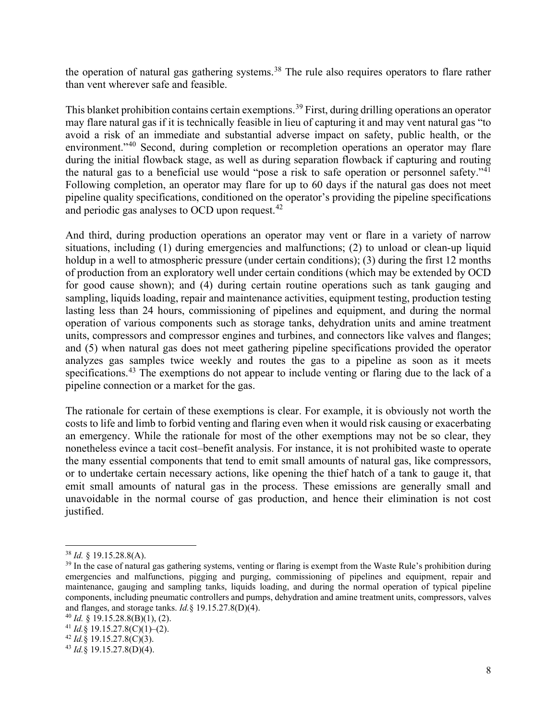the operation of natural gas gathering systems.<sup>[38](#page-9-0)</sup> The rule also requires operators to flare rather than vent wherever safe and feasible.

This blanket prohibition contains certain exemptions.<sup>[39](#page-9-1)</sup> First, during drilling operations an operator may flare natural gas if it is technically feasible in lieu of capturing it and may vent natural gas "to avoid a risk of an immediate and substantial adverse impact on safety, public health, or the environment."<sup>[40](#page-9-2)</sup> Second, during completion or recompletion operations an operator may flare during the initial flowback stage, as well as during separation flowback if capturing and routing the natural gas to a beneficial use would "pose a risk to safe operation or personnel safety."<sup>[41](#page-9-3)</sup> Following completion, an operator may flare for up to 60 days if the natural gas does not meet pipeline quality specifications, conditioned on the operator's providing the pipeline specifications and periodic gas analyses to OCD upon request.<sup>[42](#page-9-4)</sup>

And third, during production operations an operator may vent or flare in a variety of narrow situations, including (1) during emergencies and malfunctions; (2) to unload or clean-up liquid holdup in a well to atmospheric pressure (under certain conditions); (3) during the first 12 months of production from an exploratory well under certain conditions (which may be extended by OCD for good cause shown); and (4) during certain routine operations such as tank gauging and sampling, liquids loading, repair and maintenance activities, equipment testing, production testing lasting less than 24 hours, commissioning of pipelines and equipment, and during the normal operation of various components such as storage tanks, dehydration units and amine treatment units, compressors and compressor engines and turbines, and connectors like valves and flanges; and (5) when natural gas does not meet gathering pipeline specifications provided the operator analyzes gas samples twice weekly and routes the gas to a pipeline as soon as it meets specifications.<sup>[43](#page-9-5)</sup> The exemptions do not appear to include venting or flaring due to the lack of a pipeline connection or a market for the gas.

The rationale for certain of these exemptions is clear. For example, it is obviously not worth the costs to life and limb to forbid venting and flaring even when it would risk causing or exacerbating an emergency. While the rationale for most of the other exemptions may not be so clear, they nonetheless evince a tacit cost–benefit analysis. For instance, it is not prohibited waste to operate the many essential components that tend to emit small amounts of natural gas, like compressors, or to undertake certain necessary actions, like opening the thief hatch of a tank to gauge it, that emit small amounts of natural gas in the process. These emissions are generally small and unavoidable in the normal course of gas production, and hence their elimination is not cost justified.

<span id="page-9-0"></span><sup>38</sup> *Id.* § 19.15.28.8(A).

<span id="page-9-1"></span><sup>&</sup>lt;sup>39</sup> In the case of natural gas gathering systems, venting or flaring is exempt from the Waste Rule's prohibition during emergencies and malfunctions, pigging and purging, commissioning of pipelines and equipment, repair and maintenance, gauging and sampling tanks, liquids loading, and during the normal operation of typical pipeline components, including pneumatic controllers and pumps, dehydration and amine treatment units, compressors, valves and flanges, and storage tanks. *Id.*§ 19.15.27.8(D)(4).<br><sup>40</sup> *Id.* § 19.15.28.8(B)(1), (2).<br><sup>41</sup> *Id.*§ 19.15.27.8(C)(1)–(2).<br><sup>42</sup> *Id.*§ 19.15.27.8(C)(3).<br><sup>43</sup> *Id.*§ 19.15.27.8(D)(4).

<span id="page-9-3"></span><span id="page-9-2"></span>

<span id="page-9-4"></span>

<span id="page-9-5"></span>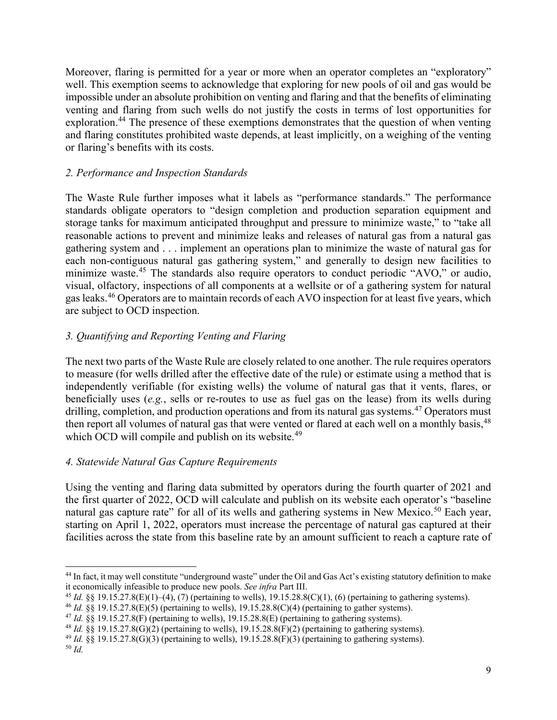Moreover, flaring is permitted for a year or more when an operator completes an "exploratory" well. This exemption seems to acknowledge that exploring for new pools of oil and gas would be impossible under an absolute prohibition on venting and flaring and that the benefits of eliminating venting and flaring from such wells do not justify the costs in terms of lost opportunities for exploration.<sup>[44](#page-10-0)</sup> The presence of these exemptions demonstrates that the question of when venting and flaring constitutes prohibited waste depends, at least implicitly, on a weighing of the venting or flaring's benefits with its costs.

## *2. Performance and Inspection Standards*

The Waste Rule further imposes what it labels as "performance standards." The performance standards obligate operators to "design completion and production separation equipment and storage tanks for maximum anticipated throughput and pressure to minimize waste," to "take all reasonable actions to prevent and minimize leaks and releases of natural gas from a natural gas gathering system and . . . implement an operations plan to minimize the waste of natural gas for each non-contiguous natural gas gathering system," and generally to design new facilities to minimize waste.<sup>[45](#page-10-1)</sup> The standards also require operators to conduct periodic "AVO," or audio, visual, olfactory, inspections of all components at a wellsite or of a gathering system for natural gas leaks.[46](#page-10-2) Operators are to maintain records of each AVO inspection for at least five years, which are subject to OCD inspection.

# *3. Quantifying and Reporting Venting and Flaring*

The next two parts of the Waste Rule are closely related to one another. The rule requires operators to measure (for wells drilled after the effective date of the rule) or estimate using a method that is independently verifiable (for existing wells) the volume of natural gas that it vents, flares, or beneficially uses (*e.g.*, sells or re-routes to use as fuel gas on the lease) from its wells during drilling, completion, and production operations and from its natural gas systems.<sup>[47](#page-10-3)</sup> Operators must then report all volumes of natural gas that were vented or flared at each well on a monthly basis,<sup>[48](#page-10-4)</sup> which OCD will compile and publish on its website.<sup>[49](#page-10-5)</sup>

## *4. Statewide Natural Gas Capture Requirements*

Using the venting and flaring data submitted by operators during the fourth quarter of 2021 and the first quarter of 2022, OCD will calculate and publish on its website each operator's "baseline natural gas capture rate" for all of its wells and gathering systems in New Mexico.<sup>[50](#page-10-6)</sup> Each year, starting on April 1, 2022, operators must increase the percentage of natural gas captured at their facilities across the state from this baseline rate by an amount sufficient to reach a capture rate of

<span id="page-10-0"></span> $44$  In fact, it may well constitute "underground waste" under the Oil and Gas Act's existing statutory definition to make it economically infeasible to produce new pools. See infra Part III.

<span id="page-10-1"></span><sup>&</sup>lt;sup>45</sup> *Id.* §§ 19.15.27.8(E)(1)–(4), (7) (pertaining to wells), 19.15.28.8(C)(1), (6) (pertaining to gathering systems).<br><sup>46</sup> *Id.* §§ 19.15.27.8(E)(5) (pertaining to wells), 19.15.28.8(C)(4) (pertaining to gather systems)

<span id="page-10-2"></span>

<span id="page-10-3"></span>

<span id="page-10-5"></span><span id="page-10-4"></span><sup>49</sup> *Id.* §§ 19.15.27.8(G)(3) (pertaining to wells), 19.15.28.8(F)(3) (pertaining to gathering systems).

<span id="page-10-6"></span><sup>50</sup> *Id.*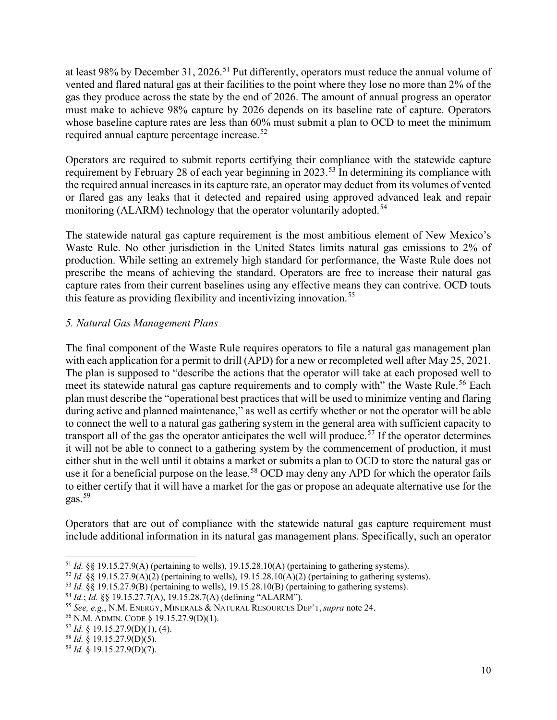at least 98% by December 31, 2026.<sup>[51](#page-11-0)</sup> Put differently, operators must reduce the annual volume of vented and flared natural gas at their facilities to the point where they lose no more than 2% of the gas they produce across the state by the end of 2026. The amount of annual progress an operator must make to achieve 98% capture by 2026 depends on its baseline rate of capture. Operators whose baseline capture rates are less than  $60\%$  must submit a plan to OCD to meet the minimum required annual capture percentage increase.<sup>[52](#page-11-1)</sup>

Operators are required to submit reports certifying their compliance with the statewide capture requirement by February 28 of each year beginning in 2023.<sup>[53](#page-11-2)</sup> In determining its compliance with the required annual increases in its capture rate, an operator may deduct from its volumes of vented or flared gas any leaks that it detected and repaired using approved advanced leak and repair monitoring (ALARM) technology that the operator voluntarily adopted.<sup>[54](#page-11-3)</sup>

The statewide natural gas capture requirement is the most ambitious element of New Mexico's Waste Rule. No other jurisdiction in the United States limits natural gas emissions to 2% of production. While setting an extremely high standard for performance, the Waste Rule does not prescribe the means of achieving the standard. Operators are free to increase their natural gas capture rates from their current baselines using any effective means they can contrive. OCD touts this feature as providing flexibility and incentivizing innovation.<sup>[55](#page-11-4)</sup>

# *5. Natural Gas Management Plans*

The final component of the Waste Rule requires operators to file a natural gas management plan with each application for a permit to drill (APD) for a new or recompleted well after May 25, 2021. The plan is supposed to "describe the actions that the operator will take at each proposed well to meet its statewide natural gas capture requirements and to comply with" the Waste Rule.<sup>[56](#page-11-5)</sup> Each plan must describe the "operational best practices that will be used to minimize venting and flaring during active and planned maintenance," as well as certify whether or not the operator will be able to connect the well to a natural gas gathering system in the general area with sufficient capacity to transport all of the gas the operator anticipates the well will produce.<sup>[57](#page-11-6)</sup> If the operator determines it will not be able to connect to a gathering system by the commencement of production, it must either shut in the well until it obtains a market or submits a plan to OCD to store the natural gas or use it for a beneficial purpose on the lease.<sup>[58](#page-11-7)</sup> OCD may deny any APD for which the operator fails to either certify that it will have a market for the gas or propose an adequate alternative use for the gas.[59](#page-11-8)

Operators that are out of compliance with the statewide natural gas capture requirement must include additional information in its natural gas management plans. Specifically, such an operator

<span id="page-11-0"></span><sup>51</sup> *Id.* §§ 19.15.27.9(A) (pertaining to wells), 19.15.28.10(A) (pertaining to gathering systems).

<span id="page-11-1"></span><sup>52</sup> *Id.* §§ 19.15.27.9(A)(2) (pertaining to wells), 19.15.28.10(A)(2) (pertaining to gathering systems).

<span id="page-11-2"></span><sup>53</sup> *Id.* §§ 19.15.27.9(B) (pertaining to wells), 19.15.28.10(B) (pertaining to gathering systems).

<span id="page-11-3"></span><sup>54</sup> *Id.*; *Id.* §§ 19.15.27.7(A), 19.15.28.7(A) (defining "ALARM").

<span id="page-11-4"></span><sup>55</sup> *See, e.g.*, N.M. ENERGY, MINERALS & NATURAL RESOURCES DEP'T, *supra* note 24. 56 N.M. ADMIN. CODE § 19.15.27.9(D)(1). 57 *Id.* § 19.15.27.9(D)(1), (4).

<span id="page-11-5"></span>

<span id="page-11-6"></span>

<span id="page-11-7"></span><sup>58</sup> *Id.* § 19.15.27.9(D)(5).

<span id="page-11-8"></span><sup>59</sup> *Id.* § 19.15.27.9(D)(7).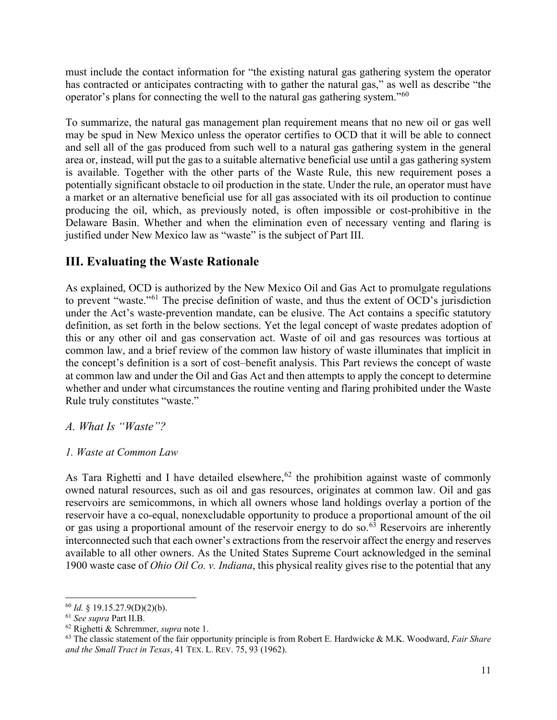must include the contact information for "the existing natural gas gathering system the operator has contracted or anticipates contracting with to gather the natural gas," as well as describe "the operator's plans for connecting the well to the natural gas gathering system."[60](#page-12-0)

To summarize, the natural gas management plan requirement means that no new oil or gas well may be spud in New Mexico unless the operator certifies to OCD that it will be able to connect and sell all of the gas produced from such well to a natural gas gathering system in the general area or, instead, will put the gas to a suitable alternative beneficial use until a gas gathering system is available. Together with the other parts of the Waste Rule, this new requirement poses a potentially significant obstacle to oil production in the state. Under the rule, an operator must have a market or an alternative beneficial use for all gas associated with its oil production to continue producing the oil, which, as previously noted, is often impossible or cost-prohibitive in the Delaware Basin. Whether and when the elimination even of necessary venting and flaring is justified under New Mexico law as "waste" is the subject of Part III.

# **III. Evaluating the Waste Rationale**

As explained, OCD is authorized by the New Mexico Oil and Gas Act to promulgate regulations to prevent "waste."[61](#page-12-1) The precise definition of waste, and thus the extent of OCD's jurisdiction under the Act's waste-prevention mandate, can be elusive. The Act contains a specific statutory definition, as set forth in the below sections. Yet the legal concept of waste predates adoption of this or any other oil and gas conservation act. Waste of oil and gas resources was tortious at common law, and a brief review of the common law history of waste illuminates that implicit in the concept's definition is a sort of cost–benefit analysis. This Part reviews the concept of waste at common law and under the Oil and Gas Act and then attempts to apply the concept to determine whether and under what circumstances the routine venting and flaring prohibited under the Waste Rule truly constitutes "waste."

## *A. What Is "Waste"?*

## *1. Waste at Common Law*

As Tara Righetti and I have detailed elsewhere,  $62$  the prohibition against waste of commonly owned natural resources, such as oil and gas resources, originates at common law. Oil and gas reservoirs are semicommons, in which all owners whose land holdings overlay a portion of the reservoir have a co-equal, nonexcludable opportunity to produce a proportional amount of the oil or gas using a proportional amount of the reservoir energy to do so. $63$  Reservoirs are inherently interconnected such that each owner's extractions from the reservoir affect the energy and reserves available to all other owners. As the United States Supreme Court acknowledged in the seminal 1900 waste case of *Ohio Oil Co. v. Indiana*, this physical reality gives rise to the potential that any

<span id="page-12-0"></span><sup>60</sup> *Id.* § 19.15.27.9(D)(2)(b).

<span id="page-12-3"></span><span id="page-12-2"></span><span id="page-12-1"></span><sup>&</sup>lt;sup>62</sup> Righetti & Schremmer, *supra* note 1.<br><sup>63</sup> The classic statement of the fair opportunity principle is from Robert E. Hardwicke & M.K. Woodward, *Fair Share and the Small Tract in Texas*, 41 TEX. L. REV. 75, 93 (1962).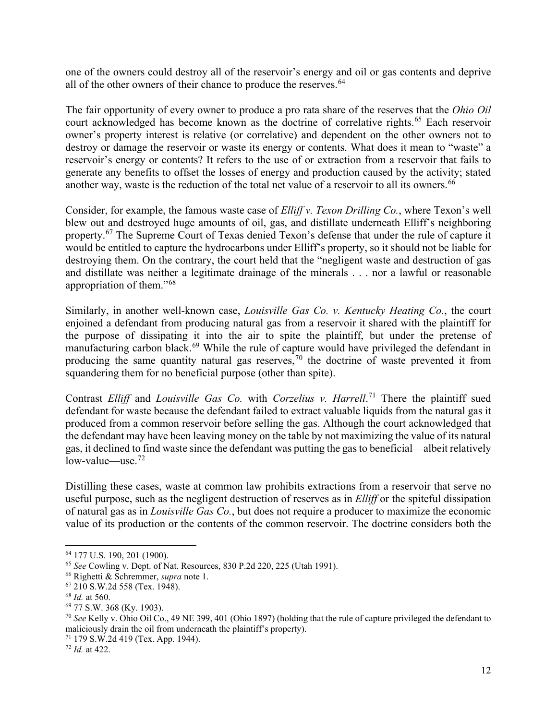one of the owners could destroy all of the reservoir's energy and oil or gas contents and deprive all of the other owners of their chance to produce the reserves.<sup>[64](#page-13-0)</sup>

The fair opportunity of every owner to produce a pro rata share of the reserves that the *Ohio Oil* court acknowledged has become known as the doctrine of correlative rights.<sup>[65](#page-13-1)</sup> Each reservoir owner's property interest is relative (or correlative) and dependent on the other owners not to destroy or damage the reservoir or waste its energy or contents. What does it mean to "waste" a reservoir's energy or contents? It refers to the use of or extraction from a reservoir that fails to generate any benefits to offset the losses of energy and production caused by the activity; stated another way, waste is the reduction of the total net value of a reservoir to all its owners.<sup>[66](#page-13-2)</sup>

Consider, for example, the famous waste case of *Elliff v. Texon Drilling Co.*, where Texon's well blew out and destroyed huge amounts of oil, gas, and distillate underneath Elliff's neighboring property.<sup>[67](#page-13-3)</sup> The Supreme Court of Texas denied Texon's defense that under the rule of capture it would be entitled to capture the hydrocarbons under Elliff's property, so it should not be liable for destroying them. On the contrary, the court held that the "negligent waste and destruction of gas and distillate was neither a legitimate drainage of the minerals . . . nor a lawful or reasonable appropriation of them."[68](#page-13-4)

Similarly, in another well-known case, *Louisville Gas Co. v. Kentucky Heating Co.*, the court enjoined a defendant from producing natural gas from a reservoir it shared with the plaintiff for the purpose of dissipating it into the air to spite the plaintiff, but under the pretense of manufacturing carbon black.<sup>[69](#page-13-5)</sup> While the rule of capture would have privileged the defendant in producing the same quantity natural gas reserves,<sup>[70](#page-13-6)</sup> the doctrine of waste prevented it from squandering them for no beneficial purpose (other than spite).

Contrast *Elliff* and *Louisville Gas Co.* with *Corzelius v. Harrell*.<sup>[71](#page-13-7)</sup> There the plaintiff sued defendant for waste because the defendant failed to extract valuable liquids from the natural gas it produced from a common reservoir before selling the gas. Although the court acknowledged that the defendant may have been leaving money on the table by not maximizing the value of its natural gas, it declined to find waste since the defendant was putting the gas to beneficial—albeit relatively  $low-value$ —use.<sup>[72](#page-13-8)</sup>

Distilling these cases, waste at common law prohibits extractions from a reservoir that serve no useful purpose, such as the negligent destruction of reserves as in *Elliff* or the spiteful dissipation of natural gas as in *Louisville Gas Co.*, but does not require a producer to maximize the economic value of its production or the contents of the common reservoir. The doctrine considers both the

<span id="page-13-1"></span><span id="page-13-0"></span><sup>64</sup> 177 U.S. 190, 201 (1900). 65 *See* Cowling v. Dept. of Nat. Resources, 830 P.2d 220, 225 (Utah 1991).

<span id="page-13-6"></span><span id="page-13-5"></span>

<span id="page-13-4"></span><span id="page-13-3"></span><span id="page-13-2"></span><sup>&</sup>lt;sup>67</sup> 210 S.W.2d 558 (Tex. 1948).<br><sup>68</sup> *Id.* at 560.<br><sup>69</sup> 77 S.W. 368 (Ky. 1903).<br><sup>70</sup> *See* Kelly v. Ohio Oil Co., 49 NE 399, 401 (Ohio 1897) (holding that the rule of capture privileged the defendant to maliciously drain the oil from underneath the plaintiff's property).

<span id="page-13-8"></span><span id="page-13-7"></span><sup>71</sup> 179 S.W.2d 419 (Tex. App. 1944). 72 *Id.* at 422.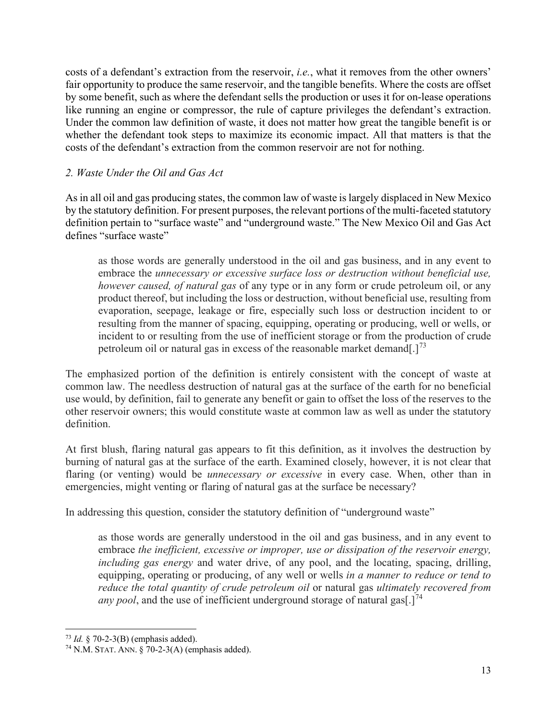costs of a defendant's extraction from the reservoir, *i.e.*, what it removes from the other owners' fair opportunity to produce the same reservoir, and the tangible benefits. Where the costs are offset by some benefit, such as where the defendant sells the production or uses it for on-lease operations like running an engine or compressor, the rule of capture privileges the defendant's extraction. Under the common law definition of waste, it does not matter how great the tangible benefit is or whether the defendant took steps to maximize its economic impact. All that matters is that the costs of the defendant's extraction from the common reservoir are not for nothing.

#### *2. Waste Under the Oil and Gas Act*

As in all oil and gas producing states, the common law of waste is largely displaced in New Mexico by the statutory definition. For present purposes, the relevant portions of the multi-faceted statutory definition pertain to "surface waste" and "underground waste." The New Mexico Oil and Gas Act defines "surface waste"

as those words are generally understood in the oil and gas business, and in any event to embrace the *unnecessary or excessive surface loss or destruction without beneficial use, however caused, of natural gas* of any type or in any form or crude petroleum oil, or any product thereof, but including the loss or destruction, without beneficial use, resulting from evaporation, seepage, leakage or fire, especially such loss or destruction incident to or resulting from the manner of spacing, equipping, operating or producing, well or wells, or incident to or resulting from the use of inefficient storage or from the production of crude petroleum oil or natural gas in excess of the reasonable market demand[.]<sup>[73](#page-14-0)</sup>

The emphasized portion of the definition is entirely consistent with the concept of waste at common law. The needless destruction of natural gas at the surface of the earth for no beneficial use would, by definition, fail to generate any benefit or gain to offset the loss of the reserves to the other reservoir owners; this would constitute waste at common law as well as under the statutory definition.

At first blush, flaring natural gas appears to fit this definition, as it involves the destruction by burning of natural gas at the surface of the earth. Examined closely, however, it is not clear that flaring (or venting) would be *unnecessary or excessive* in every case. When, other than in emergencies, might venting or flaring of natural gas at the surface be necessary?

In addressing this question, consider the statutory definition of "underground waste"

as those words are generally understood in the oil and gas business, and in any event to embrace *the inefficient, excessive or improper, use or dissipation of the reservoir energy, including gas energy* and water drive, of any pool, and the locating, spacing, drilling, equipping, operating or producing, of any well or wells *in a manner to reduce or tend to reduce the total quantity of crude petroleum oil* or natural gas *ultimately recovered from any* pool, and the use of inefficient underground storage of natural gas  $1^{74}$  $1^{74}$  $1^{74}$ 

<span id="page-14-1"></span><span id="page-14-0"></span><sup>&</sup>lt;sup>73</sup> *Id.* § 70-2-3(B) (emphasis added).<br><sup>74</sup> N.M. STAT. ANN. § 70-2-3(A) (emphasis added).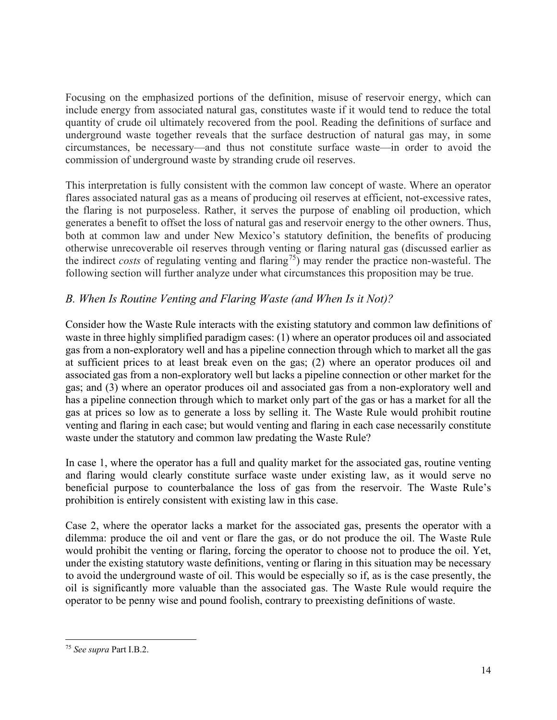Focusing on the emphasized portions of the definition, misuse of reservoir energy, which can include energy from associated natural gas, constitutes waste if it would tend to reduce the total quantity of crude oil ultimately recovered from the pool. Reading the definitions of surface and underground waste together reveals that the surface destruction of natural gas may, in some circumstances, be necessary—and thus not constitute surface waste—in order to avoid the commission of underground waste by stranding crude oil reserves.

This interpretation is fully consistent with the common law concept of waste. Where an operator flares associated natural gas as a means of producing oil reserves at efficient, not-excessive rates, the flaring is not purposeless. Rather, it serves the purpose of enabling oil production, which generates a benefit to offset the loss of natural gas and reservoir energy to the other owners. Thus, both at common law and under New Mexico's statutory definition, the benefits of producing otherwise unrecoverable oil reserves through venting or flaring natural gas (discussed earlier as the indirect *costs* of regulating venting and flaring<sup>75</sup>) may render the practice non-wasteful. The following section will further analyze under what circumstances this proposition may be true.

# *B. When Is Routine Venting and Flaring Waste (and When Is it Not)?*

Consider how the Waste Rule interacts with the existing statutory and common law definitions of waste in three highly simplified paradigm cases: (1) where an operator produces oil and associated gas from a non-exploratory well and has a pipeline connection through which to market all the gas at sufficient prices to at least break even on the gas; (2) where an operator produces oil and associated gas from a non-exploratory well but lacks a pipeline connection or other market for the gas; and (3) where an operator produces oil and associated gas from a non-exploratory well and has a pipeline connection through which to market only part of the gas or has a market for all the gas at prices so low as to generate a loss by selling it. The Waste Rule would prohibit routine venting and flaring in each case; but would venting and flaring in each case necessarily constitute waste under the statutory and common law predating the Waste Rule?

In case 1, where the operator has a full and quality market for the associated gas, routine venting and flaring would clearly constitute surface waste under existing law, as it would serve no beneficial purpose to counterbalance the loss of gas from the reservoir. The Waste Rule's prohibition is entirely consistent with existing law in this case.

Case 2, where the operator lacks a market for the associated gas, presents the operator with a dilemma: produce the oil and vent or flare the gas, or do not produce the oil. The Waste Rule would prohibit the venting or flaring, forcing the operator to choose not to produce the oil. Yet, under the existing statutory waste definitions, venting or flaring in this situation may be necessary to avoid the underground waste of oil. This would be especially so if, as is the case presently, the oil is significantly more valuable than the associated gas. The Waste Rule would require the operator to be penny wise and pound foolish, contrary to preexisting definitions of waste.

<span id="page-15-0"></span><sup>75</sup> *See supra* Part I.B.2.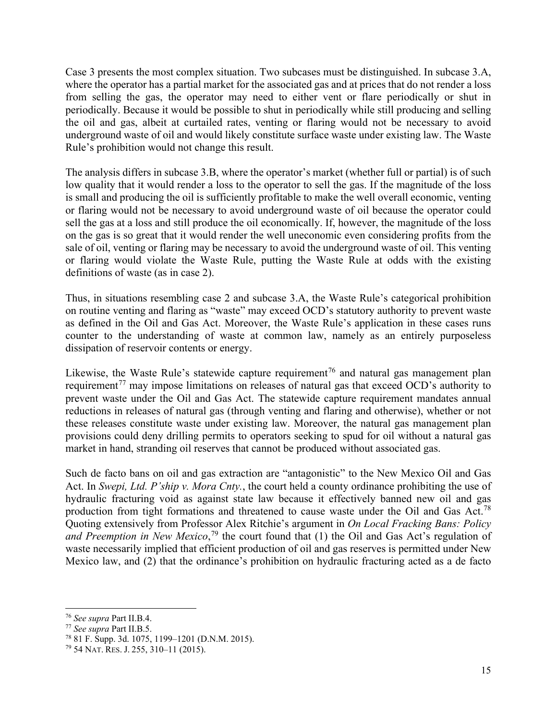Case 3 presents the most complex situation. Two subcases must be distinguished. In subcase 3.A, where the operator has a partial market for the associated gas and at prices that do not render a loss from selling the gas, the operator may need to either vent or flare periodically or shut in periodically. Because it would be possible to shut in periodically while still producing and selling the oil and gas, albeit at curtailed rates, venting or flaring would not be necessary to avoid underground waste of oil and would likely constitute surface waste under existing law. The Waste Rule's prohibition would not change this result.

The analysis differs in subcase 3.B, where the operator's market (whether full or partial) is of such low quality that it would render a loss to the operator to sell the gas. If the magnitude of the loss is small and producing the oil is sufficiently profitable to make the well overall economic, venting or flaring would not be necessary to avoid underground waste of oil because the operator could sell the gas at a loss and still produce the oil economically. If, however, the magnitude of the loss on the gas is so great that it would render the well uneconomic even considering profits from the sale of oil, venting or flaring may be necessary to avoid the underground waste of oil. This venting or flaring would violate the Waste Rule, putting the Waste Rule at odds with the existing definitions of waste (as in case 2).

Thus, in situations resembling case 2 and subcase 3.A, the Waste Rule's categorical prohibition on routine venting and flaring as "waste" may exceed OCD's statutory authority to prevent waste as defined in the Oil and Gas Act. Moreover, the Waste Rule's application in these cases runs counter to the understanding of waste at common law, namely as an entirely purposeless dissipation of reservoir contents or energy.

Likewise, the Waste Rule's statewide capture requirement<sup>[76](#page-16-0)</sup> and natural gas management plan requirement<sup>[77](#page-16-1)</sup> may impose limitations on releases of natural gas that exceed OCD's authority to prevent waste under the Oil and Gas Act. The statewide capture requirement mandates annual reductions in releases of natural gas (through venting and flaring and otherwise), whether or not these releases constitute waste under existing law. Moreover, the natural gas management plan provisions could deny drilling permits to operators seeking to spud for oil without a natural gas market in hand, stranding oil reserves that cannot be produced without associated gas.

Such de facto bans on oil and gas extraction are "antagonistic" to the New Mexico Oil and Gas Act. In *Swepi, Ltd. P'ship v. Mora Cnty.*, the court held a county ordinance prohibiting the use of hydraulic fracturing void as against state law because it effectively banned new oil and gas production from tight formations and threatened to cause waste under the Oil and Gas Act.<sup>[78](#page-16-2)</sup> Quoting extensively from Professor Alex Ritchie's argument in *On Local Fracking Bans: Policy and Preemption in New Mexico*, [79](#page-16-3) the court found that (1) the Oil and Gas Act's regulation of waste necessarily implied that efficient production of oil and gas reserves is permitted under New Mexico law, and (2) that the ordinance's prohibition on hydraulic fracturing acted as a de facto

<span id="page-16-0"></span><sup>76</sup> *See supra* Part II.B.4.

<span id="page-16-1"></span>

<span id="page-16-2"></span><sup>&</sup>lt;sup>78</sup> 81 F. Supp. 3d. 1075, 1199–1201 (D.N.M. 2015).

<span id="page-16-3"></span><sup>79</sup> 54 NAT. RES. J. 255, 310–11 (2015).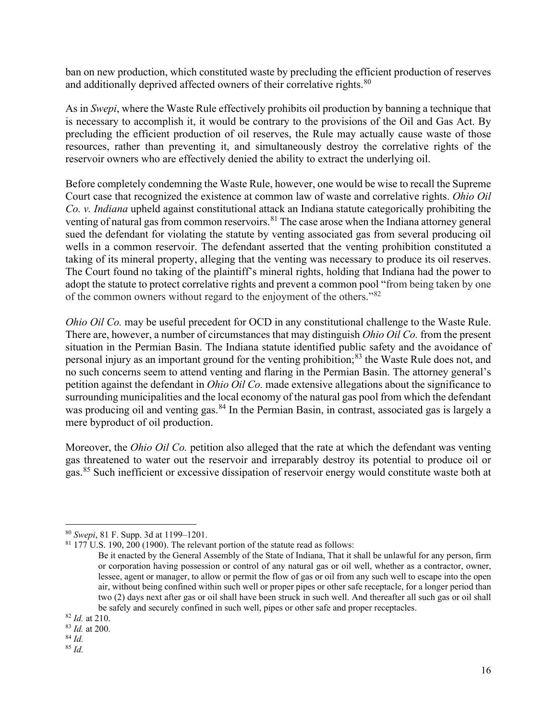ban on new production, which constituted waste by precluding the efficient production of reserves and additionally deprived affected owners of their correlative rights.<sup>[80](#page-17-0)</sup>

As in *Swepi*, where the Waste Rule effectively prohibits oil production by banning a technique that is necessary to accomplish it, it would be contrary to the provisions of the Oil and Gas Act. By precluding the efficient production of oil reserves, the Rule may actually cause waste of those resources, rather than preventing it, and simultaneously destroy the correlative rights of the reservoir owners who are effectively denied the ability to extract the underlying oil.

Before completely condemning the Waste Rule, however, one would be wise to recall the Supreme Court case that recognized the existence at common law of waste and correlative rights. *Ohio Oil Co. v. Indiana* upheld against constitutional attack an Indiana statute categorically prohibiting the venting of natural gas from common reservoirs.<sup>[81](#page-17-1)</sup> The case arose when the Indiana attorney general sued the defendant for violating the statute by venting associated gas from several producing oil wells in a common reservoir. The defendant asserted that the venting prohibition constituted a taking of its mineral property, alleging that the venting was necessary to produce its oil reserves. The Court found no taking of the plaintiff's mineral rights, holding that Indiana had the power to adopt the statute to protect correlative rights and prevent a common pool "from being taken by one of the common owners without regard to the enjoyment of the others."[82](#page-17-2)

*Ohio Oil Co.* may be useful precedent for OCD in any constitutional challenge to the Waste Rule. There are, however, a number of circumstances that may distinguish *Ohio Oil Co.* from the present situation in the Permian Basin. The Indiana statute identified public safety and the avoidance of personal injury as an important ground for the venting prohibition;<sup>[83](#page-17-3)</sup> the Waste Rule does not, and no such concerns seem to attend venting and flaring in the Permian Basin. The attorney general's petition against the defendant in *Ohio Oil Co.* made extensive allegations about the significance to surrounding municipalities and the local economy of the natural gas pool from which the defendant was producing oil and venting gas.<sup>[84](#page-17-4)</sup> In the Permian Basin, in contrast, associated gas is largely a mere byproduct of oil production.

Moreover, the *Ohio Oil Co.* petition also alleged that the rate at which the defendant was venting gas threatened to water out the reservoir and irreparably destroy its potential to produce oil or gas.[85](#page-17-5) Such inefficient or excessive dissipation of reservoir energy would constitute waste both at

<span id="page-17-1"></span><span id="page-17-0"></span><sup>&</sup>lt;sup>80</sup> *Swepi*, 81 F. Supp. 3d at 1199–1201.<br><sup>81</sup> 177 U.S. 190, 200 (1900). The relevant portion of the statute read as follows:

Be it enacted by the General Assembly of the State of Indiana, That it shall be unlawful for any person, firm or corporation having possession or control of any natural gas or oil well, whether as a contractor, owner, lessee, agent or manager, to allow or permit the flow of gas or oil from any such well to escape into the open air, without being confined within such well or proper pipes or other safe receptacle, for a longer period than two (2) days next after gas or oil shall have been struck in such well. And thereafter all such gas or oil shall be safely and securely confined in such well, pipes or other safe and proper receptacles.

<span id="page-17-2"></span><sup>82</sup> *Id.* at 210.

<span id="page-17-3"></span><sup>83</sup> *Id.* at 200. 84 *Id.*

<span id="page-17-5"></span><span id="page-17-4"></span>